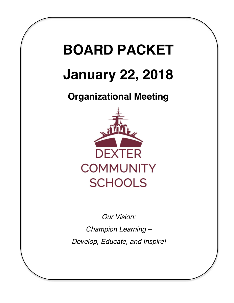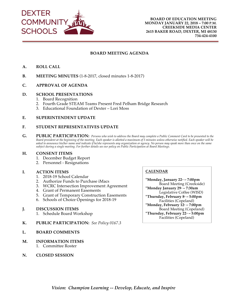

#### **BOARD MEETING AGENDA**

- **A. ROLL CALL**
- **B. MEETING MINUTES** (1-8-2018, closed minutes 1-8-2018)
- **C. APPROVAL OF AGENDA**

#### **D. SCHOOL PRESENTATIONS**

- 1. Board Recognition
- 2. Fourth Grade STEAM Teams Present Fred Pelham Bridge Research
- 3. Educational Foundation of Dexter Lori Moss

#### **E. SUPERINTENDENT UPDATE**

#### **F. STUDENT REPRESENTATIVES UPDATE**

**G. PUBLIC PARTICIPATION:** *Persons who wish to address the Board may complete a Public Comment Card to be presented to the Board president at the beginning of the meeting. Each speaker is allotted a maximum of 5 minutes unless otherwise notified. Each speaker will be asked to announce his/her name and indicate if he/she represents any organization or agency. No person may speak more than once on the same subject during a single meeting. For further details see our policy on Public Participation at Board Meetings.*

#### **H. CONSENT ITEMS**

- 1. December Budget Report
- 2. Personnel Resignations

#### **I. ACTION ITEMS**

- 1. 2018-19 School Calendar
- 2. Authorize Funds to Purchase iMacs
- 3. WCRC Intersection Improvement Agreement
- 4. Grant of Permanent Easements
- 5. Grant of Temporary Construction Easements
- 6. Schools of Choice Openings for 2018-19

#### **J. DISCUSSION ITEMS**

- 1. Schedule Board Workshop
- **K. PUBLIC PARTICIPATION:** *See Policy 0167.3*
- **L. BOARD COMMENTS**

#### **M. INFORMATION ITEMS**

1. Committee Roster

#### **N. CLOSED SESSION**

#### **CALENDAR**

**\*Monday, January 22nd – 7:00pm** Board Meeting (Creekside) **\*Monday January 29th – 7:30am** Legislative Coffee (WISD) \*Thursday, February 8<sup>th</sup> – 5:00pm Facilities (Copeland) **\*Monday, February 12 - 7:00pm** Board Meeting (Copeland) **\*Thursday, February 22nd – 5:00pm** Facilities (Copeland)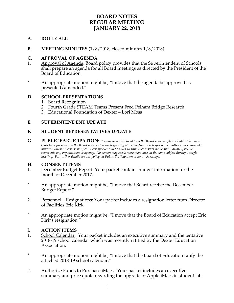## **BOARD NOTES REGULAR MEETING JANUARY 22, 2018**

## **A. ROLL CALL**

**B. MEETING MINUTES** (1/8/2018, closed minutes 1/8/2018)

#### **C. APPROVAL OF AGENDA**

- 1. Approval of Agenda. Board policy provides that the Superintendent of Schools shall prepare an agenda for all Board meetings as directed by the President of the Board of Education.
- \* An appropriate motion might be, "I move that the agenda be approved as presented/amended."

### **D. SCHOOL PRESENTATIONS**

- 1. Board Recognition
- 2. Fourth Grade STEAM Teams Present Fred Pelham Bridge Research
- 3. Educational Foundation of Dexter Lori Moss

#### **E. SUPERINTENDENT UPDATE**

### **F. STUDENT REPRESENTATIVES UPDATE**

**G. PUBLIC PARTICIPATION:** *Persons who wish to address the Board may complete a Public Comment Card to be presented to the Board president at the beginning of the meeting. Each speaker is allotted a maximum of 5 minutes unless otherwise notified. Each speaker will be asked to announce his/her name and indicate if he/she represents any organization or agency. No person may speak more than once on the same subject during a single meeting. For further details see our policy on Public Participation at Board Meetings.*

### **H. CONSENT ITEMS**

- 1. December Budget Report: Your packet contains budget information for the month of December 2017.
- \* An appropriate motion might be, "I move that Board receive the December Budget Report."
- 2. Personnel Resignations: Your packet includes a resignation letter from Director of Facilities Eric Kirk.
- \* An appropriate motion might be, "I move that the Board of Education accept Eric Kirk's resignation."

### I. **ACTION ITEMS**

- 1. School Calendar. Your packet includes an executive summary and the tentative 2018-19 school calendar which was recently ratified by the Dexter Education Association.
- An appropriate motion might be, "I move that the Board of Education ratify the attached 2018-19 school calendar."
- 2. Authorize Funds to Purchase iMacs. Your packet includes an executive summary and price quote regarding the upgrade of Apple iMacs in student labs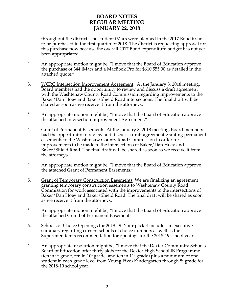## **BOARD NOTES REGULAR MEETING JANUARY 22, 2018**

throughout the district. The student iMacs were planned in the 2017 Bond issue to be purchased in the first quarter of 2018. The district is requesting approval for this purchase now because the overall 2017 Bond expenditure budget has not yet been appropriated.

- \* An appropriate motion might be, "I move that the Board of Education approve the purchase of 344 iMacs and a MacBook Pro for \$610,555.00 as detailed in the attached quote."
- 3. WCRC Intersection Improvement Agreement. At the January 8, 2018 meeting, Board members had the opportunity to review and discuss a draft agreement with the Washtenaw County Road Commission regarding improvements to the Baker/Dan Hoey and Baker/Shield Road intersections. The final draft will be shared as soon as we receive it from the attorneys.
- \* An appropriate motion might be, "I move that the Board of Education approve the attached Intersection Improvement Agreement."
- 4. Grant of Permanent Easements. At the January 8, 2018 meeting, Board members had the opportunity to review and discuss a draft agreement granting permanent easements to the Washtenaw County Road Commission in order for improvements to be made to the intersections of Baker/Dan Hoey and Baker/Shield Road. The final draft will be shared as soon as we receive it from the attorneys.
- \* An appropriate motion might be, "I move that the Board of Education approve the attached Grant of Permanent Easements."
- 5. Grant of Temporary Construction Easements. We are finalizing an agreement granting temporary construction easements to Washtenaw County Road Commission for work associated with the improvements to the intersections of Baker/Dan Hoey and Baker/Shield Road. The final draft will be shared as soon as we receive it from the attorneys.
- \* An appropriate motion might be, "I move that the Board of Education approve the attached Grand of Permanent Easements."
- 6. Schools of Choice Openings for 2018-19. Your packet includes an executive summary regarding current schools of choice numbers as well as the Superintendent's recommendation for openings for the 2018-19 school year.
- \* An appropriate resolution might be, "I move that the Dexter Community Schools Board of Education offer thirty slots for the Dexter High School IB Programme (ten in  $9$ <sup>th</sup> grade, ten in 10<sup>th</sup> grade, and ten in 11<sup>th</sup> grade) plus a minimum of one student in each grade level from Young Five/Kindergarten through  $8<sup>th</sup>$  grade for the 2018-19 school year."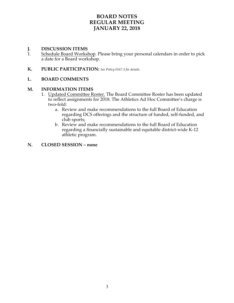## **BOARD NOTES REGULAR MEETING JANUARY 22, 2018**

# **J. DISCUSSION ITEMS**<br>1. Schedule Board Worksh

- Schedule Board Workshop. Please bring your personal calendars in order to pick a date for a Board workshop.
- **K. PUBLIC PARTICIPATION:** *See Policy 0167.3 for details.*

### **L. BOARD COMMENTS**

#### **M. INFORMATION ITEMS**

- 1. Updated Committee Roster. The Board Committee Roster has been updated to reflect assignments for 2018. The Athletics Ad Hoc Committee's charge is two-fold:
	- a. Review and make recommendations to the full Board of Education regarding DCS offerings and the structure of funded, self-funded, and club sports;
	- b. Review and make recommendations to the full Board of Education regarding a financially sustainable and equitable district-wide K-12 athletic program.

#### **N. CLOSED SESSION – none**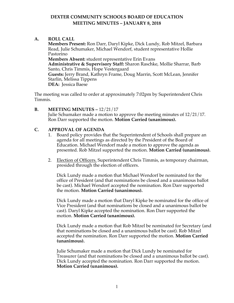**A. ROLL CALL**

**Members Present:** Ron Darr, Daryl Kipke, Dick Lundy, Rob Mitzel, Barbara Read, Julie Schumaker, Michael Wendorf, student representative Hollie Pastorino **Members Absent:** student representative Erin Evans **Administrative & Supervisory Staff:** Sharon Raschke, Mollie Sharrar, Barb Santo, Chris Timmis, Hope Vestergaard **Guests:** Jerry Brand, Kathryn Frame, Doug Marrin, Scott McLean, Jennifer Starlin, Melissa Tippens **DEA:** Jessica Baese

The meeting was called to order at approximately 7:02pm by Superintendent Chris Timmis.

**B. MEETING MINUTES –** 12/21/17 Julie Schumaker made a motion to approve the meeting minutes of 12/21/17. Ron Darr supported the motion. **Motion Carried (unanimous).** 

#### **C. APPROVAL OF AGENDA**

- 1. Board policy provides that the Superintendent of Schools shall prepare an agenda for all meetings as directed by the President of the Board of Education. Michael Wendorf made a motion to approve the agenda as presented. Rob Mitzel supported the motion. **Motion Carried (unanimous).**
- 2. Election of Officers. Superintendent Chris Timmis, as temporary chairman, presided through the election of officers.

Dick Lundy made a motion that Michael Wendorf be nominated for the office of President (and that nominations be closed and a unanimous ballot be cast). Michael Wendorf accepted the nomination. Ron Darr supported the motion. **Motion Carried (unanimous).**

Dick Lundy made a motion that Daryl Kipke be nominated for the office of Vice President (and that nominations be closed and a unanimous ballot be cast). Daryl Kipke accepted the nomination. Ron Darr supported the motion. **Motion Carried (unanimous).**

Dick Lundy made a motion that Rob Mitzel be nominated for Secretary (and that nominations be closed and a unanimous ballot be cast). Rob Mitzel accepted the nomination. Ron Darr supported the motion. **Motion Carried (unanimous).**

Julie Schumaker made a motion that Dick Lundy be nominated for Treasurer (and that nominations be closed and a unanimous ballot be cast). Dick Lundy accepted the nomination. Ron Darr supported the motion. **Motion Carried (unanimous).**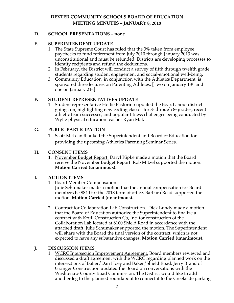## **D. SCHOOL PRESENTATIONS – none**

### **E. SUPERINTENDENT UPDATE**

- 1. The State Supreme Court has ruled that the 3% taken from employee paychecks to fund retirement from July 2010 through January 2013 was unconstitutional and must be refunded. Districts are developing processes to identify recipients and refund the deductions.
- 2. In February, the District will conduct a survey of fifth through twelfth grade students regarding student engagement and social-emotional well-being.
- 3. Community Education, in conjunction with the Athletics Department, is sponsored three lectures on Parenting Athletes. [Two on January  $18<sup>th</sup>$  and one on January  $21$ <sup>st</sup>.]

## **F. STUDENT REPRESENTATIVES UPDATE**

1. Student representative Hollie Pastorino updated the Board about district goings-on, highlighting new coding classes for  $3<sup>d</sup>$  through  $8<sup>th</sup>$  grades, recent athletic team successes, and popular fitness challenges being conducted by Wylie physical education teacher Ryan Maki.

## **G. PUBLIC PARTICIPATION**

1. Scott McLean thanked the Superintendent and Board of Education for providing the upcoming Athletics Parenting Seminar Series.

### **H. CONSENT ITEMS**

**1.** November Budget Report. Daryl Kipke made a motion that the Board receive the November Budget Report. Rob Mitzel supported the motion. **Motion Carried (unanimous).**

### **I. ACTION ITEMS**

1. Board Member Compensation.

Julie Schumaker made a motion that the annual compensation for Board members be \$840 for the 2018 term of office. Barbara Read supported the motion. **Motion Carried (unanimous).**

2. Contract for Collaboration Lab Construction. Dick Lundy made a motion that the Board of Education authorize the Superintendent to finalize a contract with Krull Construction Co, Inc. for construction of the Collaboration Lab located at 8100 Shield Road in accordance with the attached draft. Julie Schumaker supported the motion. The Superintendent will share with the Board the final version of the contract, which is not expected to have any substantive changes. **Motion Carried (unanimous).**

## **J. DISCUSSION ITEMS**

1. WCRC Intersection Improvement Agreement. Board members reviewed and discussed a draft agreement with the WCRC regarding planned work on the intersections of Baker/Dan Hoey and Baker/Shield Road. Jerry Brand of Granger Construction updated the Board on conversations with the Washtenaw County Road Commission. The District would like to add another leg to the planned roundabout to connect it to the Creekside parking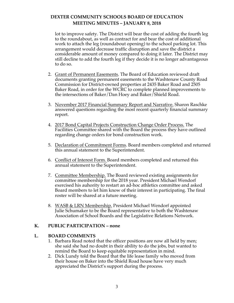lot to improve safety. The District will bear the cost of adding the fourth leg to the roundabout, as well as contract for and bear the cost of additional work to attach the leg (roundabout opening) to the school parking lot. This arrangement would decrease traffic disruption and save the district a considerable amount of money compared to doing it later. The District may still decline to add the fourth leg if they decide it is no longer advantageous to do so.

- 2. Grant of Permanent Easements. The Board of Education reviewed draft documents granting permanent easements to the Washtenaw County Road Commission for District-owned properties at 2435 Baker Road and 2505 Baker Road, in order for the WCRC to complete planned improvements to the intersections of Baker/Dan Hoey and Baker/Shield Road.
- 3. November 2017 Financial Summary Report and Narrative. Sharon Raschke answered questions regarding the most recent quarterly financial summary report.
- 4. 2017 Bond Capital Projects Construction Change Order Process. The Facilities Committee shared with the Board the process they have outlined regarding change orders for bond construction work.
- 5. Declaration of Commitment Forms. Board members completed and returned this annual statement to the Superintendent.
- 6. Conflict of Interest Form. Board members completed and returned this annual statement to the Superintendent.
- 7. Committee Membership. The Board reviewed existing assignments for committee membership for the 2018 year. President Michael Wendorf exercised his auhority to restart an ad-hoc athletics committee and asked Board members to let him know of their interest in participating. The final roster will be shared at a future meeting.
- 8. WASB & LRN Membership. President Michael Wendorf appointed Julie Schumaker to be the Board representative to both the Washtenaw Association of School Boards and the Legislative Relations Network.

### **K. PUBLIC PARTICIPATION – none**

### **L. BOARD COMMENTS**

- 1. Barbara Read noted that the officer positions are now all held by men; she said she had no doubt in their ability to do the jobs, but wanted to remind the Board to keep equitable representation in mind.
- 2. Dick Lundy told the Board that the life lease family who moved from their house on Baker into the Shield Road house have very much appreciated the District's support during the process.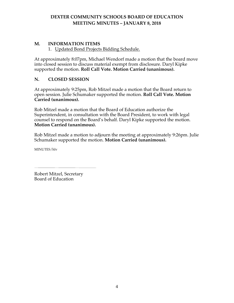## **M. INFORMATION ITEMS**

1. Updated Bond Projects Bidding Schedule.

At approximately 8:07pm, Michael Wendorf made a motion that the board move into closed session to discuss material exempt from disclosure. Daryl Kipke supported the motion. **Roll Call Vote. Motion Carried (unanimous).**

## **N. CLOSED SESSION**

At approximately 9:25pm, Rob Mitzel made a motion that the Board return to open session. Julie Schumaker supported the motion. **Roll Call Vote. Motion Carried (unanimous).** 

Rob Mitzel made a motion that the Board of Education authorize the Superintendent, in consultation with the Board President, to work with legal counsel to respond on the Board's behalf. Daryl Kipke supported the motion. **Motion Carried (unanimous).**

Rob Mitzel made a motion to adjourn the meeting at approximately 9:26pm. Julie Schumaker supported the motion. **Motion Carried (unanimous).**

MINUTES/hlv

Robert Mitzel, Secretary Board of Education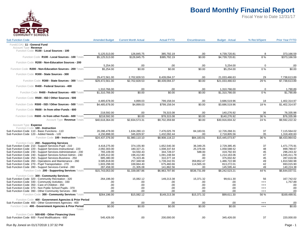

| <b>Sub Function Code</b>                                                                                                                                                                                                                                                                                                                                                                                                                                                                                                               | <b>Amended Budget</b>                                                                                                  | <b>Current Month Actual</b>                                                                               | <b>Actual FYTD</b>                                                                                                   | Encumbrances                                                                      | <b>Budget - Actual</b>                                                                                               | % Rec'd/Spent                                      | <b>Prior Year FYTD</b>                                                                                             |
|----------------------------------------------------------------------------------------------------------------------------------------------------------------------------------------------------------------------------------------------------------------------------------------------------------------------------------------------------------------------------------------------------------------------------------------------------------------------------------------------------------------------------------------|------------------------------------------------------------------------------------------------------------------------|-----------------------------------------------------------------------------------------------------------|----------------------------------------------------------------------------------------------------------------------|-----------------------------------------------------------------------------------|----------------------------------------------------------------------------------------------------------------------|----------------------------------------------------|--------------------------------------------------------------------------------------------------------------------|
| Fund(COA) 11 - General Fund<br>Account Type Revenue                                                                                                                                                                                                                                                                                                                                                                                                                                                                                    |                                                                                                                        |                                                                                                           |                                                                                                                      |                                                                                   |                                                                                                                      |                                                    |                                                                                                                    |
| Function Code R100 - Local Sources - 100                                                                                                                                                                                                                                                                                                                                                                                                                                                                                               | 5,125,513.00                                                                                                           | 126,845.75                                                                                                | 385,792.19                                                                                                           | .00                                                                               | 4,739,720.81                                                                                                         | 8                                                  | 373,166.59                                                                                                         |
| Function Code R100 - Local Sources - 100 Totals                                                                                                                                                                                                                                                                                                                                                                                                                                                                                        | \$5.125.513.00                                                                                                         | \$126.845.75                                                                                              | \$385.792.19                                                                                                         | \$0.00                                                                            | \$4,739,720.81                                                                                                       | 8%                                                 | \$373.166.59                                                                                                       |
| Function Code R200 - Non-Education Sources - 200                                                                                                                                                                                                                                                                                                                                                                                                                                                                                       |                                                                                                                        |                                                                                                           |                                                                                                                      |                                                                                   |                                                                                                                      |                                                    |                                                                                                                    |
| Function Code R200 - Non-Education Sources - 200 Totals                                                                                                                                                                                                                                                                                                                                                                                                                                                                                | 5,254.00<br>\$5.254.00                                                                                                 | .00<br>\$0.00                                                                                             | .00<br>\$0.00                                                                                                        | .00<br>\$0.00                                                                     | 5,254.00<br>\$5,254.00                                                                                               | $\mathbf 0$<br>0%                                  | .00<br>\$0.00                                                                                                      |
| Function Code R300 - State Sources - 300                                                                                                                                                                                                                                                                                                                                                                                                                                                                                               |                                                                                                                        |                                                                                                           |                                                                                                                      |                                                                                   |                                                                                                                      |                                                    |                                                                                                                    |
|                                                                                                                                                                                                                                                                                                                                                                                                                                                                                                                                        | 29,472,561.00                                                                                                          | 2,702,828.53                                                                                              | 8,439,094.37                                                                                                         | .00                                                                               | 21,033,466.63                                                                                                        | 29                                                 | 7,738,613.89                                                                                                       |
| Function Code R300 - State Sources - 300 Totals                                                                                                                                                                                                                                                                                                                                                                                                                                                                                        | \$29,472,561.00                                                                                                        | \$2,702,828.53                                                                                            | \$8,439,094.37                                                                                                       | \$0.00                                                                            | \$21,033,466.63                                                                                                      | 29%                                                | \$7,738,613.89                                                                                                     |
| Function Code R400 - Federal Sources - 400                                                                                                                                                                                                                                                                                                                                                                                                                                                                                             |                                                                                                                        |                                                                                                           |                                                                                                                      |                                                                                   |                                                                                                                      |                                                    |                                                                                                                    |
| Function Code R400 - Federal Sources - 400 Totals                                                                                                                                                                                                                                                                                                                                                                                                                                                                                      | 1,310,766.00<br>\$1,310,766.00                                                                                         | .00<br>\$0.00                                                                                             | .00<br>\$0.00                                                                                                        | .00<br>\$0.00                                                                     | 1,310,766.00<br>\$1,310,766.00                                                                                       | $\mathbf 0$<br>$0\%$                               | 1,790.89<br>\$1,790.89                                                                                             |
| Function Code R500 - ISD / Other Sources - 500                                                                                                                                                                                                                                                                                                                                                                                                                                                                                         |                                                                                                                        |                                                                                                           |                                                                                                                      |                                                                                   |                                                                                                                      |                                                    |                                                                                                                    |
|                                                                                                                                                                                                                                                                                                                                                                                                                                                                                                                                        | 4,485,678.00                                                                                                           | 4,899.03                                                                                                  | 799,158.04                                                                                                           | .00                                                                               | 3,686,519.96                                                                                                         | 18                                                 | 1,402,314.97                                                                                                       |
| Function Code R500 - ISD / Other Sources - 500 Totals                                                                                                                                                                                                                                                                                                                                                                                                                                                                                  | \$4,485,678.00                                                                                                         | \$4.899.03                                                                                                | \$799.158.04                                                                                                         | \$0.00                                                                            | \$3.686.519.96                                                                                                       | 18%                                                | \$1,402,314.97                                                                                                     |
| Function Code R600 - In from other Funds - 600                                                                                                                                                                                                                                                                                                                                                                                                                                                                                         |                                                                                                                        |                                                                                                           |                                                                                                                      |                                                                                   |                                                                                                                      |                                                    |                                                                                                                    |
|                                                                                                                                                                                                                                                                                                                                                                                                                                                                                                                                        | 218,592.00                                                                                                             | .00                                                                                                       | 78,315.08                                                                                                            | .00                                                                               | 140,276.92                                                                                                           | 36                                                 | 76,335.98                                                                                                          |
| Function Code R600 - In from other Funds - 600 Totals<br>Account Type Revenue Totals                                                                                                                                                                                                                                                                                                                                                                                                                                                   | \$218,592.00<br>\$40,618,364.00                                                                                        | \$0.00<br>\$2,834,573.31                                                                                  | \$78,315.08<br>\$9,702,359.68                                                                                        | \$0.00<br>\$0.00                                                                  | \$140,276.92<br>\$30,916,004.32                                                                                      | 36 %<br>24 %                                       | \$76,335.98<br>\$9,592,222.32                                                                                      |
| Account Type Expense<br>Function Code 100 - Instruction<br>Sub Function Code 110 - Basic Functions - 110<br>Sub Function Code 120 - Added Needs - 120<br>Function Code 100 - Instruction Totals                                                                                                                                                                                                                                                                                                                                        | 20,286,478.00<br>4,150,898.00<br>\$24.437.376.00                                                                       | 1,634,280.13<br>345,829.97<br>\$1.980.110.10                                                              | 7,476,025.78<br>1,432,092.44<br>\$8.908.118.22                                                                       | 84,183.91<br>.00<br>\$84,183.91                                                   | 12,726,268.31<br>2,718,805.56<br>\$15.445.073.87                                                                     | 37<br>35<br>36 %                                   | 7,115,564.02<br>1,318,400.60<br>\$8.433.964.62                                                                     |
|                                                                                                                                                                                                                                                                                                                                                                                                                                                                                                                                        |                                                                                                                        |                                                                                                           |                                                                                                                      |                                                                                   |                                                                                                                      |                                                    |                                                                                                                    |
| Function Code 200 - Supporting Services<br>Sub Function Code 210 - Support Services-Pupil - 210<br>Sub Function Code 220 - Support Services-Instructional - 220<br>Sub Function Code 230 - Support Services-Administration - 230<br>Sub Function Code 240 - Support Services-School Admin - 240<br>Sub Function Code 250 - Support Services-Business - 250<br>Sub Function Code 260 - Operations and Maintenance - 260<br>Sub Function Code 270 - Pupil Transportation - 270<br>Sub Function Code 280 - Support Services-Central - 280 | 4,418,275.00<br>2,092,303.00<br>765,109.00<br>2,305,412.00<br>685,380.00<br>3.585.818.00<br>1,603,298.00<br>287,458.00 | 374,155.90<br>180,327.21<br>64,550.43<br>196,412.80<br>75,323.46<br>257,348.58<br>169,664.40<br>21,305.08 | 1,652,540.30<br>1,008,337.64<br>344,728.07<br>1,091,248.94<br>310,377.18<br>1.739.242.55<br>675,460.66<br>141,862.56 | 36,349.25<br>25,376.84<br>588.00<br>.00<br>.00<br>359.852.47<br>114,565.33<br>.00 | 2,729,385.45<br>1,058,588.52<br>419,792.93<br>1,214,163.06<br>375,002.82<br>1,486,722.98<br>813,272.01<br>145,595.44 | 37<br>48<br>45<br>47<br>45<br>49<br>42<br>49       | 1,471,775.91<br>899,788.67<br>296,243.32<br>1,045,411.79<br>287,016.56<br>1.810.560.98<br>693,015.90<br>140,224.38 |
| Function Code 200 - Supporting Services Totals                                                                                                                                                                                                                                                                                                                                                                                                                                                                                         | \$15,743,053.00                                                                                                        | \$1,339,087.86                                                                                            | \$6,963,797.90                                                                                                       | \$536,731.89                                                                      | \$8,242,523.21                                                                                                       | 44 %                                               | \$6,644,037.51                                                                                                     |
| Function Code 300 - Community Services<br>Sub Function Code 320 - Community Recreation - 320<br>Sub Function Code 330 - Community Activities - 330<br>Sub Function Code 350 - Care of Children - 350<br>Sub Function Code 370 - Non Public School Pupils - 370<br>Sub Function Code 390 - Other Community Services - 390                                                                                                                                                                                                               | 264,196.00<br>.00<br>.00<br>.00<br>.00.                                                                                | 15,082.12<br>.00<br>.00<br>.00<br>.00.                                                                    | 149,213.38<br>.00<br>.00<br>.00<br>.00                                                                               | 15,371.32<br>.00<br>.00<br>.00<br>.00                                             | 99,611.30<br>.00<br>.00<br>.00<br>.00                                                                                | 56<br>$^{+++}$<br>$^{+++}$<br>$^{+++}$<br>$^{+++}$ | 167,742.02<br>1,757.89<br>.00<br>.00<br>.00                                                                        |
| Function Code 300 - Community Services Totals                                                                                                                                                                                                                                                                                                                                                                                                                                                                                          | \$264.196.00                                                                                                           | \$15,082.12                                                                                               | \$149,213.38                                                                                                         | \$15.371.32                                                                       | \$99.611.30                                                                                                          | 56 %                                               | \$169.499.91                                                                                                       |
| Function Code 400 - Government Agencies & Prior Period<br>Sub Function Code 400 - Other Government Agencies - 400                                                                                                                                                                                                                                                                                                                                                                                                                      | .00                                                                                                                    | .00                                                                                                       | .00                                                                                                                  | .00                                                                               | .00                                                                                                                  | $^{+++}$                                           | .00                                                                                                                |
| Function Code 400 - Government Agencies & Prior Period<br>Totals                                                                                                                                                                                                                                                                                                                                                                                                                                                                       | \$0.00                                                                                                                 | \$0.00                                                                                                    | \$0.00                                                                                                               | \$0.00                                                                            | \$0.00                                                                                                               | $^{+++}$                                           | \$0.00                                                                                                             |
| Function Code 500-600 - Other Financing Uses<br>Sub Function Code 600 - Fund Modifications - 600                                                                                                                                                                                                                                                                                                                                                                                                                                       | 545,426.00                                                                                                             | .00                                                                                                       | 200,000.00                                                                                                           | .00                                                                               | 345,426.00                                                                                                           | 37                                                 | 220,000.00                                                                                                         |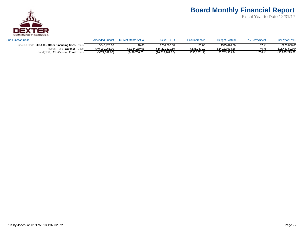

| <b>Sub Function Code</b>             | <b>Amended Budget</b> | <b>Current Month Actual</b> | <b>Actual FYTD</b> | Encumbrances    | <b>Budget - Actual</b> | % Rec'd/Spent | <b>Prior Year FYTD</b> |
|--------------------------------------|-----------------------|-----------------------------|--------------------|-----------------|------------------------|---------------|------------------------|
| 500-600 - Other Financing Uses ⊺     | \$545.426.00          | \$0.00                      | \$200.000.00       | \$0.00          | \$345.426.00           | 37%           | \$220,000.00           |
| <b>Expense</b><br>Account            | \$40,990,051.00       | \$3,334,280.08              | \$16.221.129.50    | \$636,287.12    | \$24.132.634.38        | 40 %          | \$15.467.502.04        |
| )11 - General Fund ⊺<br>™ ™ पाली (C∪ | (\$371,687.00)        | (\$499,706.77)              | (\$6,518,769.82)   | (\$636, 287.12) | \$6,783,369.94         | ,754 %        | (\$5,875,279.72)       |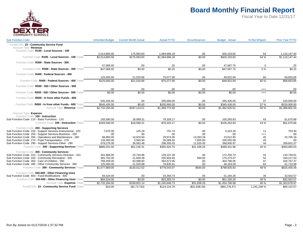

| <b>Sub Function Code</b>                                     | <b>Amended Budget</b> | <b>Current Month Actual</b> | <b>Actual FYTD</b> | Encumbrances  | <b>Budget - Actual</b> | % Rec'd/Spent    | <b>Prior Year FYTD</b>  |
|--------------------------------------------------------------|-----------------------|-----------------------------|--------------------|---------------|------------------------|------------------|-------------------------|
| Fund(COA) 23 - Community Service Fund                        |                       |                             |                    |               |                        |                  |                         |
| Account Type Revenue                                         |                       |                             |                    |               |                        |                  |                         |
| Function Code R100 - Local Sources - 100                     |                       |                             |                    |               |                        |                  |                         |
|                                                              | 2,014,800.00          | 175,593.83                  | 1,094,696.18       | .00           | 920,103.82             | 54               | 1,110,147.44            |
| Function Code R100 - Local Sources - 100 Totals              | \$2.014.800.00        | \$175,593.83                | \$1.094.696.18     | \$0.00        | \$920.103.82           | 54 %             | \$1.110.147.44          |
| Function Code R300 - State Sources - 300                     |                       |                             |                    |               |                        |                  |                         |
|                                                              | 47,068.00             | .00                         | .25                | .00           | 47,067.75              | $\mathbf 0$      | .25                     |
| Function Code R300 - State Sources - 300 Totals              | \$47.068.00           | \$0.00                      | \$0.25             | \$0.00        | \$47,067.75            | $\overline{0\%}$ | \$0.25                  |
| Function Code R400 - Federal Sources - 400                   |                       |                             |                    |               |                        |                  |                         |
|                                                              | 125,000.00            | 21,520.68                   | 75,077.06          | .00           | 49,922.94              | 60               | 58,653.85               |
| Function Code R400 - Federal Sources - 400 Totals            | \$125,000.00          | \$21.520.68                 | \$75,077.06        | \$0.00        | \$49.922.94            | 60%              | $$58,653.\overline{85}$ |
| Function Code R500 - ISD / Other Sources - 500               |                       |                             |                    |               |                        |                  |                         |
|                                                              | .00                   | .00                         | .00.               | .00           | .00                    | $^{+++}$         | .00                     |
| Function Code R500 - ISD / Other Sources - 500 Totals        | \$0.00                | \$0.00                      | \$0.00             | \$0.00        | \$0.00                 | $^{+++}$         | \$0.00                  |
| Function Code R600 - In from other Funds - 600               |                       |                             |                    |               |                        |                  |                         |
|                                                              | 545,426.00            | .00                         | 200,000.00         | .00           | 345,426.00             | 37               | 220,000.00              |
| Function Code R600 - In from other Funds - 600 Totals        | \$545,426.00          | \$0.00                      | \$200,000,00       | \$0.00        | \$345,426.00           | 37%              | \$220,000.00            |
| Account Type Revenue Totals                                  | \$2,732,294.00        | \$197,114.51                | \$1,369,773.49     | \$0.00        | \$1,362,520.51         | 50 %             | \$1,388,801.54          |
| Account Type Expense                                         |                       |                             |                    |               |                        |                  |                         |
| Function Code 100 - Instruction                              |                       |                             |                    |               |                        |                  |                         |
| Sub Function Code 110 - Basic Functions - 110                | 183,590.00            | 18,589.31                   | 78,326.17          | .00           | 105,263.83             | 43               | 61,670.88               |
| Function Code 100 - Instruction Totals                       | \$183,590.00          | \$18,589.31                 | \$78,326.17        | \$0.00        | \$105,263.83           | 43 %             | \$61,670.88             |
| Function Code 200 - Supporting Services                      |                       |                             |                    |               |                        |                  |                         |
| Sub Function Code 220 - Support Services-Instructional - 220 | 7,075.00              | 125.29                      | 751.74             | .00           | 6.323.26               | 11               | 753.30                  |
| Sub Function Code 250 - Support Services-Business - 250      | .00                   | .00                         | .00                | .00           | .00                    | $^{+++}$         | .00                     |
| Sub Function Code 260 - Operations and Maintenance - 260     | 66,850.00             | 10.976.60                   | 29,974.06          | 13,263.29     | 23,612.65              | 45               | 32,705.16               |
| Sub Function Code 270 - Pupil Transportation - 270           | 134,000.00            | 3,565.94                    | 26,389.92          | 7,055.00      | 100,555.08             | 20               | .00                     |
| Sub Function Code 290 - Support Services-Other - 290         | 678,276.00            | 36,562.48                   | 298,305.03         | 11,020.00     | 368,950.97             | 44               | 359,601.57              |
| Function Code 200 - Supporting Services Totals               | \$886.201.00          | \$51,230.31                 | \$355,420.75       | \$31,338.29   | \$499.441.96           | 40 %             | \$393.060.03            |
| Function Code 300 - Community Services                       |                       |                             |                    |               |                        |                  |                         |
| Sub Function Code 310 - Community Services Direction - 310   | 301,808.00            | 23,744.86                   | 129,107.28         | .00           | 172,700.72             | 43               | 133,749.61              |
| Sub Function Code 320 - Community Recreation - 320           | 381,702.00            | 21,648.38                   | 205,926.93         | 500.00        | 175,275.07             | 54               | 194,217.53              |
| Sub Function Code 350 - Care of Children - 350               | 769,459.00            | 63,098.60                   | 364,672.95         | .00           | 404,786.05             | 47               | 426,767.37              |
| Sub Function Code 390 - Other Community Services - 390       | 125,000.00            | 21,520.68                   | 78,835.91          | .00           | 46,164.09              | 63               | 61,710.98               |
| Function Code 300 - Community Services Totals                | \$1,577,969.00        | \$130,012.52                | \$778,543.07       | \$500.00      | \$798,925.93           | 49 %             | \$816,445.49            |
| Function Code 500-600 - Other Financing Uses                 |                       |                             |                    |               |                        |                  |                         |
| Sub Function Code 600 - Fund Modifications - 600             | 84,524.00             | .00                         | 33,358.74          | .00           | 51,165.26              | 39               | 32,502.57               |
| Function Code 500-600 - Other Financing Uses Totals          | \$84.524.00           | \$0.00                      | \$33.358.74        | \$0.00        | \$51.165.26            | 39 %             | \$32,502.57             |
| Account Type Expense Totals                                  | \$2,732,284.00        | \$199,832.14                | \$1,245,648.73     | \$31,838.29   | \$1,454,796.98         | 46 %             | \$1,303,678.97          |
| Fund(COA) 23 - Community Service Fund Totals                 | \$10.00               | (\$2,717.63)                | \$124,124.76       | (\$31,838.29) | (\$92,276.47)          | 1,241,248 %      | \$85,122.57             |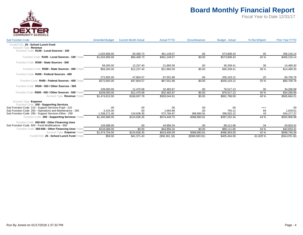

| <b>Sub Function Code</b>                                                                             | <b>Amended Budget</b> | <b>Current Month Actual</b> | <b>Actual FYTD</b> | Encumbrances   | <b>Budget - Actual</b> | % Rec'd/Spent | <b>Prior Year FYTD</b> |
|------------------------------------------------------------------------------------------------------|-----------------------|-----------------------------|--------------------|----------------|------------------------|---------------|------------------------|
| Fund(COA) 25 - School Lunch Fund<br>Account Type Revenue<br>Function Code R100 - Local Sources - 100 |                       |                             |                    |                |                        |               |                        |
|                                                                                                      | 1.034.958.00          | 94,490.73                   | 461.149.57         | .00            | 573.808.43             | 45            | 456,216.14             |
| Function Code R100 - Local Sources - 100 Totals                                                      | \$1.034.958.00        | \$94.490.73                 | \$461.149.57       | \$0.00         | \$573.808.43           | 45 %          | \$456,216.14           |
| Function Code R300 - State Sources - 300                                                             |                       |                             |                    |                |                        |               |                        |
|                                                                                                      | 58.200.00             | 12.237.40                   | 21.860.59          | .00            | 36,339.41              | 38            | 14,480.30              |
| Function Code R300 - State Sources - 300 Totals                                                      | \$58,200.00           | \$12,237.40                 | \$21,860.59        | \$0.00         | \$36,339.41            | 38 %          | \$14,480.30            |
| Function Code R400 - Federal Sources - 400                                                           |                       |                             |                    |                |                        |               |                        |
|                                                                                                      | 272.655.00            | 47,804.57                   | 67.551.88          | .00            | 205.103.12             | 25            | 60,700.78              |
| Function Code R400 - Federal Sources - 400 Totals                                                    | \$272.655.00          | \$47.804.57                 | \$67.551.88        | \$0.00         | \$205.103.12           | 25 %          | \$60,700.78            |
| Function Code R500 - ISD / Other Sources - 500                                                       |                       |                             |                    |                |                        |               |                        |
|                                                                                                      | 109.000.00            | 11.475.08                   | 32.482.87          | .00            | 76.517.13              | 30            | 34,266.99              |
| Function Code R500 - ISD / Other Sources - 500 Totals                                                | \$109,000.00          | \$11.475.08                 | \$32,482.87        | \$0.00         | \$76,517.13            | 30 %          | \$34,266.99            |
| Account Type Revenue Totals                                                                          | \$1,474,813.00        | \$166,007.78                | \$583,044.91       | \$0.00         | \$891,768.09           | 40 %          | \$565,664.21           |
| Account Type Expense                                                                                 |                       |                             |                    |                |                        |               |                        |
| Function Code 200 - Supporting Services                                                              |                       |                             |                    |                |                        |               |                        |
| Sub Function Code 210 - Support Services-Pupil - 210                                                 | .00                   | .00                         | .00                | .00            | .00                    | $^{+++}$      | .00                    |
| Sub Function Code 260 - Operations and Maintenance - 260                                             | 2,415.00              | .00                         | 1,664.88           | .00            | 750.12                 | 69            | 1,629.61               |
| Sub Function Code 290 - Support Services-Other - 290                                                 | 1,338,271.00          | 124,636.35                  | 572,784.87         | 368,983.91     | 396.502.22             | 43            | 554,277.37             |
| Function Code 200 - Supporting Services Totals                                                       | \$1,340,686.00        | \$124,636.35                | \$574.449.75       | \$368,983.91   | \$397,252.34           | 43 %          | \$555,906.98           |
| Function Code 500-600 - Other Financing Uses                                                         |                       |                             |                    |                |                        |               |                        |
| Sub Function Code 600 - Fund Modifications - 600                                                     | 134.068.00            | .00                         | 44.956.34          | .00            | 89.111.66              | 34            | 43,833.41              |
| Function Code 500-600 - Other Financing Uses Totals                                                  | \$134.068.00          | \$0.00                      | \$44,956.34        | \$0.00         | \$89,111.66            | 34 %          | \$43,833.41            |
| Account Type Expense Totals                                                                          | \$1,474,754.00        | \$124,636.35                | \$619,406.09       | \$368,983.91   | \$486,364.00           | 42 %          | \$599,740.39           |
| Fund(COA) 25 - School Lunch Fund Totals                                                              | \$59.00               | \$41,371.43                 | (\$36,361.18)      | (\$368,983.91) | \$405,404.09           | $-61,629%$    | (\$34,076.18)          |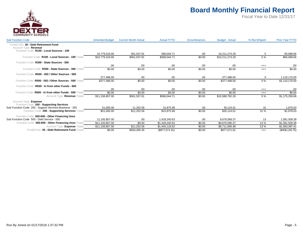

| <b>Sub Function Code</b>                                        | <b>Amended Budget</b> | <b>Current Month Actual</b> | <b>Actual FYTD</b> | <b>Encumbrances</b> | <b>Budget - Actual</b> | % Rec'd/Spent | <b>Prior Year FYTD</b>   |
|-----------------------------------------------------------------|-----------------------|-----------------------------|--------------------|---------------------|------------------------|---------------|--------------------------|
| 30 - Debt Retirement Fund<br>Fund(COA)<br>Account Type Revenue  |                       |                             |                    |                     |                        |               |                          |
| Function Code R100 - Local Sources - 100                        | 10,779,319.00         |                             | 568.044.71         | .00                 | 10.211.274.29          | 5             |                          |
| Function Code R100 - Local Sources - 100 Totals                 | \$10,779,319.00       | 561,537.91<br>\$561,537.91  | \$568,044.71       | \$0.00              | \$10,211,274.29        | 5 %           | 65,088.66<br>\$65,088.66 |
| Function Code R300 - State Sources - 300                        |                       |                             |                    |                     |                        |               |                          |
|                                                                 | .00                   | .00                         | .00                | .00                 | .00                    | $^{+++}$      | .00                      |
| Function Code R300 - State Sources - 300 Totals                 | \$0.00                | \$0.00                      | \$0.00             | \$0.00              | \$0.00                 | $^{+++}$      | \$0.00                   |
| Function Code R500 - ISD / Other Sources - 500                  |                       |                             |                    |                     |                        |               |                          |
|                                                                 | 377,488.00            | .00                         | .00                | .00                 | 377,488.00             | 0             | 1,110,170.00             |
| Function Code R500 - ISD / Other Sources - 500 Totals           | \$377.488.00          | \$0.00                      | \$0.00             | \$0.00              | \$377.488.00           | $0\%$         | \$1,110,170.00           |
| Function Code R600 - In from other Funds - 600                  |                       |                             |                    |                     |                        |               |                          |
|                                                                 | .00                   | .00                         | .00                | .00                 | .00                    | $^{+++}$      | .00                      |
| Function Code R600 - In from other Funds - 600 Totals           | \$0.00                | \$0.00                      | \$0.00             | \$0.00              | \$0.00                 | $^{+++}$      | \$0.00                   |
| Account Type Revenue Totals                                     | \$11,156,807.00       | \$561,537.91                | \$568,044.71       | \$0.00              | \$10,588,762.29        | 5 %           | \$1,175,258.66           |
| Account Type Expense<br>Function Code 200 - Supporting Services |                       |                             |                    |                     |                        |               |                          |
| Sub Function Code 250 - Support Services-Business - 250         | 51,000.00             | 11,252.56                   | 15,875.99          | .00                 | 35,124.01              | 31            | 1,878.03                 |
| Function Code 200 - Supporting Services Totals                  | \$51,000.00           | \$11,252.56                 | \$15,875.99        | \$0.00              | \$35,124.01            | 31 %          | \$1,878.03               |
| Function Code 500-600 - Other Financing Uses                    |                       |                             |                    |                     |                        |               |                          |
| Sub Function Code 500 - Debt Service - 500                      | 11.105.807.00         | .00.                        | 1.429.240.63       | .00                 | 9.676.566.37           | 13            | 1,581,509.38             |
| Function Code 500-600 - Other Financing Uses Totals             | \$11,105,807.00       | \$0.00                      | \$1,429,240.63     | \$0.00              | \$9,676,566.37         | 13%           | \$1,581,509.38           |
| Account Type Expense Totals                                     | \$11,156,807.00       | \$11,252.56                 | \$1,445,116.62     | \$0.00              | \$9,711,690.38         | 13%           | \$1,583,387.41           |
| Fund(COA) 30 - Debt Retirement Fund Totals                      | \$0.00                | \$550,285.35                | $(\$877,071.91)$   | \$0.00              | \$877,071.91           | $^{+++}$      | (\$408, 128.75)          |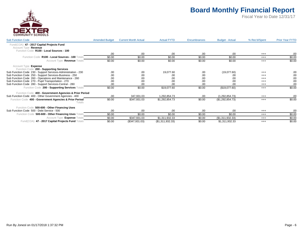

| <b>Sub Function Code</b>                                                                                         | <b>Amended Budget</b> | <b>Current Month Actual</b> | <b>Actual FYTD</b> | <b>Encumbrances</b> | <b>Budget - Actual</b> | % Rec'd/Spent | <b>Prior Year FYTD</b> |
|------------------------------------------------------------------------------------------------------------------|-----------------------|-----------------------------|--------------------|---------------------|------------------------|---------------|------------------------|
| 47 - 2017 Capital Projects Fund<br>Fund(COA)<br>Account Type Revenue<br>Function Code R100 - Local Sources - 100 |                       |                             |                    |                     |                        |               |                        |
|                                                                                                                  | .00                   | .00                         | .00                | .00                 | .00                    | $^{+++}$      | .00                    |
| Function Code R100 - Local Sources - 100 Totals                                                                  | \$0.00                | \$0.00                      | \$0.00             | \$0.00              | \$0.00                 | $^{+++}$      | \$0.00                 |
| Account Type Revenue Totals                                                                                      | \$0.00                | \$0.00                      | \$0.00             | \$0.00              | \$0.00                 | $^{+++}$      | \$0.00                 |
| Account Type Expense                                                                                             |                       |                             |                    |                     |                        |               |                        |
| Function Code 200 - Supporting Services<br>Sub Function Code 230 - Support Services-Administration - 230         | .00                   | .00                         | 19,077.60          | .00                 | (19,077.60)            | $^{+++}$      | .00                    |
| Sub Function Code 250 - Support Services-Business - 250                                                          | .00                   | .00                         | .00                | .00                 | .00                    | $^{++}$       | .00                    |
| Sub Function Code 260 - Operations and Maintenance - 260                                                         | .00                   | .00                         | .00                | .00                 | .00                    | $^{+++}$      | .00                    |
| Sub Function Code 270 - Pupil Transportation - 270                                                               | .00                   | .00                         | .00                | .00.                | .00                    | $^{+++}$      | .00                    |
| Sub Function Code 280 - Support Services-Central - 280                                                           | .00                   | .00                         | .00                | .00                 | .00                    | $^{+++}$      | .00                    |
| Function Code 200 - Supporting Services Totals                                                                   | \$0.00                | \$0.00                      | \$19,077.60        | \$0.00              | (\$19,077.60)          | $^{+++}$      | \$0.00                 |
| Function Code 400 - Government Agencies & Prior Period                                                           |                       |                             |                    |                     |                        |               |                        |
| Sub Function Code 400 - Other Government Agencies - 400                                                          | .00                   | 347,931.03                  | 1,292,854.73       | .00                 | (1, 292, 854.73)       | $^{+++}$      | .00                    |
| Function Code 400 - Government Agencies & Prior Period<br>Totals                                                 | \$0.00                | \$347,931.03                | \$1,292,854.73     | \$0.00              | (\$1,292,854.73)       | $^{+++}$      | \$0.00                 |
| Function Code 500-600 - Other Financing Uses                                                                     |                       |                             |                    |                     |                        |               |                        |
| Sub Function Code 500 - Debt Service - 500                                                                       | .00                   | .00                         | .00                | .00                 | .00                    | $^{+++}$      | .00                    |
| Function Code 500-600 - Other Financing Uses Totals                                                              | \$0.00                | \$0.00                      | \$0.00             | \$0.00              | \$0.00                 | $^{+++}$      | \$0.00                 |
| Account Type Expense Totals                                                                                      | \$0.00                | \$347,931.03                | \$1,311,932.33     | \$0.00              | (\$1,311,932.33)       | $^{++}$       | \$0.00                 |
| 47 - 2017 Capital Projects Fund Totals<br>Fund(COA)                                                              | \$0.00                | (\$347,931.03)              | (\$1,311,932.33)   | \$0.00              | \$1,311,932.33         | $^{+++}$      | \$0.00                 |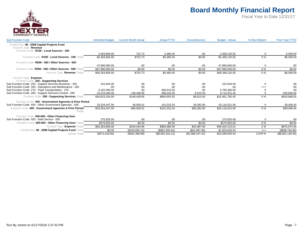

| <b>Sub Function Code</b>                                                                                      | <b>Amended Budget</b> | <b>Current Month Actual</b> | <b>Actual FYTD</b> | Encumbrances     | <b>Budget - Actual</b> | % Rec'd/Spent | <b>Prior Year FYTD</b> |
|---------------------------------------------------------------------------------------------------------------|-----------------------|-----------------------------|--------------------|------------------|------------------------|---------------|------------------------|
| Fund(COA) 48 - 2008 Capital Projects Fund<br>Account Type Revenue<br>Function Code R100 - Local Sources - 100 |                       |                             |                    |                  |                        |               |                        |
|                                                                                                               | 2.463.606.00          | 752.73                      | 5.480.45           | .00              | 2.458.125.55           |               | 6,309.59               |
| Function Code R100 - Local Sources - 100 Totals                                                               | \$2,463,606.00        | \$752.73                    | \$5,480.45         | \$0.00           | \$2,458,125.55         | $0\%$         | \$6,309.59             |
| Function Code R500 - ISD / Other Sources - 500                                                                |                       |                             |                    |                  |                        |               |                        |
|                                                                                                               | 47.890.000.00         | .00.                        | .00                | .00.             | 47.890.000.00          | 0             | .00                    |
| Function Code R500 - ISD / Other Sources - 500 Totals                                                         | \$47,890,000.00       | \$0.00                      | \$0.00             | \$0.00           | \$47,890,000.00        | $0\%$         | \$0.00                 |
| Account Type Revenue Totals                                                                                   | \$50,353,606.00       | \$752.73                    | \$5,480.45         | \$0.00           | \$50,348,125.55        | $0\%$         | \$6,309.59             |
| Account Type Expense<br>Function Code 200 - Supporting Services                                               |                       |                             |                    |                  |                        |               |                        |
| Sub Function Code 250 - Support Services-Business - 250                                                       | 441.844.00            | .00                         | .00                | .00              | 441,844.00             | 0             | .00                    |
| Sub Function Code 260 - Operations and Maintenance - 260                                                      | .00                   | .00                         | .00                | .00              | .00                    | $^{+++}$      | .00                    |
| Sub Function Code 270 - Pupil Transportation - 270                                                            | 6.162.000.00          | .00.                        | 366.610.00         | .00              | 5.795.390.00           | 6             | .00                    |
| Sub Function Code 280 - Support Services-Central - 280                                                        | 10,219,490.00         | 148,438.95                  | 498.343.55         | 6.615.00         | 9.714.531.45           |               | 635,668.05             |
| Function Code 200 - Supporting Services Totals                                                                | \$16,823,334.00       | \$148,438.95                | \$864,953.55       | \$6,615.00       | \$15,951,765.45        | 5 %           | \$635,668.05           |
| Function Code 400 - Government Agencies & Prior Period                                                        |                       |                             |                    |                  |                        |               |                        |
| Sub Function Code 400 - Other Government Agencies - 400                                                       | 33.254.447.00         | 46,006.01                   | 101.532.54         | 36.382.90        | 33.116.531.56          | 0             | 39,406.40              |
| Function Code 400 - Government Agencies & Prior Period<br>Totals                                              | \$33,254,447.00       | \$46,006.01                 | \$101,532.54       | \$36,382.90      | \$33,116,531.56        | $0\%$         | \$39,406.40            |
| Function Code 500-600 - Other Financing Uses                                                                  |                       |                             |                    |                  |                        |               |                        |
| Sub Function Code 500 - Debt Service - 500                                                                    | 275.825.00            | .00                         | .00                | .00              | 275.825.00             | 0             | .00                    |
| Function Code 500-600 - Other Financing Uses Totals                                                           | \$275.825.00          | \$0.00                      | \$0.00             | \$0.00           | \$275,825,00           | $0\%$         | \$0.00                 |
| Account Type Expense Totals                                                                                   | \$50,353,606.00       | \$194,444.96                | \$966,486.09       | \$42,997.90      | \$49,344,122.01        | 2%            | \$675,074.45           |
| 48 - 2008 Capital Projects Fund Totals<br>Fund(COA)                                                           | \$0.00                | (\$193,692.23)              | (\$961,005.64)     | (\$42,997.90)    | \$1,004,003.54         | $^{+++}$      | (\$668,764.86)         |
| <b>Grand Totals</b>                                                                                           | (\$371,618.00)        | (\$452,390.88)              | (\$9,581,016.12)   | (\$1,080,107.22) | \$10,289,505.34        | 2,578 %       | (\$6,901,126.94)       |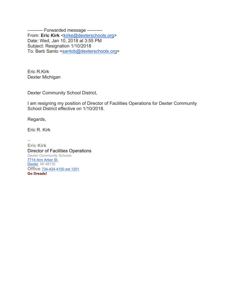---------- Forwarded message ---------- From: Eric Kirk <kirke@dexterschools.org> Date: Wed, Jan 10, 2018 at 3:55 PM Subject: Resignation 1/10/2018 To: Barb Santo <santob@dexterschools.org>

Eric R.Kirk Dexter Michigan

Dexter Community School District,

I am resigning my position of Director of Facilities Operations for Dexter Community School District effective on 1/10/2018.

Regards,

Eric R. Kirk

-- **Eric Kirk** Director of Facilities Operations *Dexter Community Schools* 7714 Ann Arbor St. Dexter, MI 48130 **Office** 734-424-4100 ext 1201 **Go Dreads!**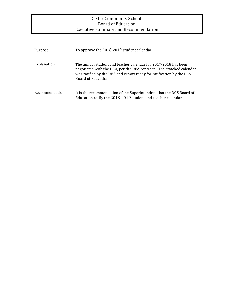### Dexter Community Schools Board of Education Executive Summary and Recommendation

| Purpose:        | To approve the 2018-2019 student calendar.                                                                                                                                                                                            |
|-----------------|---------------------------------------------------------------------------------------------------------------------------------------------------------------------------------------------------------------------------------------|
| Explanation:    | The annual student and teacher calendar for 2017-2018 has been<br>negotiated with the DEA, per the DEA contract. The attached calendar<br>was ratified by the DEA and is now ready for ratification by the DCS<br>Board of Education. |
| Recommendation: | It is the recommendation of the Superintendent that the DCS Board of<br>Education ratify the 2018-2019 student and teacher calendar.                                                                                                  |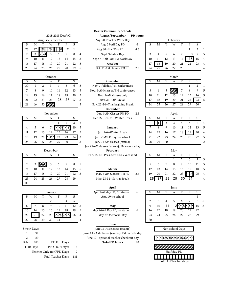| August/September |    |    |    |    |    |    |  |  |  |
|------------------|----|----|----|----|----|----|--|--|--|
| S                |    |    |    |    |    |    |  |  |  |
| 26               |    |    |    |    | 31 |    |  |  |  |
| 2                |    |    |    |    |    |    |  |  |  |
| q                | 10 |    | 12 | 13 | 14 | 15 |  |  |  |
| 16               | 17 | 18 | 19 | 20 | 21 | 22 |  |  |  |
| 23               | 24 | 25 | 26 | 27 |    |    |  |  |  |

|    |    |    | October |    |    |     |                                  |    |    |    | March |    |    |                |
|----|----|----|---------|----|----|-----|----------------------------------|----|----|----|-------|----|----|----------------|
|    |    |    |         |    |    |     | <b>November</b>                  |    | М  |    | W     |    |    |                |
| 30 |    |    |         |    |    |     | Nov. 7-full day/PM conferences   |    |    |    |       |    |    |                |
|    |    |    | 10      |    |    | - 5 | Nov. 8-AM classes/PM conferences |    | 4  |    |       |    |    | 9              |
| 14 |    | ۱h |         | 19 | 20 | l 5 | Nov. 9-AM classes only           | 10 |    |    |       |    | 15 | 1 <sub>0</sub> |
| 21 |    |    | 24      | 26 |    | . ს | Nov. 21-Half Day All             |    | 18 | 19 | 20    |    |    | 23             |
| 28 | 29 | 30 | 73X     |    |    |     | Nov. 22-24--Thanksgiving Break   | 24 |    |    |       | 28 |    | 3 <sup>0</sup> |

| November |    |    |    |    |    |    |  |  |  |  |  |
|----------|----|----|----|----|----|----|--|--|--|--|--|
| ς        |    |    |    | т  | F  | ς  |  |  |  |  |  |
|          |    |    |    |    |    | 3  |  |  |  |  |  |
|          | 5  | 6  |    |    |    | 10 |  |  |  |  |  |
| 11       | 12 | 13 | 14 | 15 | 16 | 17 |  |  |  |  |  |
| 18       | 19 | 20 |    | 22 | 23 |    |  |  |  |  |  |
| 25       | 26 | 27 | 28 | 7q |    |    |  |  |  |  |  |

|                |    |    | December |    |    |    |   |
|----------------|----|----|----------|----|----|----|---|
| S              | М  | т  | W        | т  | F  | S  |   |
|                |    |    |          |    |    |    |   |
| $\overline{2}$ | 3  |    | 5        | 6  |    | 8  | 5 |
| 9              | 10 | 11 | 12       | 13 | 14 | 15 | 5 |
| 16             | 17 | 18 | 19       | 20 | 21 | 22 | 5 |
| 23             | 24 | 25 | 26       | 27 | 28 | 29 |   |
| 30             | 31 |    |          |    |    |    |   |

|    |    |    | January |    |    |    | Apr. 1-All day PD, No studer     | 6 | S             |
|----|----|----|---------|----|----|----|----------------------------------|---|---------------|
|    |    |    | W       |    |    | S  | Apr. 19-no school                |   |               |
|    |    |    |         |    |    | 5  |                                  |   | $\mathcal{P}$ |
| 6  |    |    | 9       | 10 |    | 12 | May<br>.5                        |   | 9             |
| 13 | 14 | 15 | 16      |    | 18 | 19 | May 24-All Day PD, no stude<br>5 | 6 | 16            |
| 20 |    | 22 | 23      |    |    | 26 | May 27-Memorial Day<br>4         |   | 23            |
| 27 |    | 29 | 30      | 31 |    |    | 4                                |   | 30            |

- 
- 

Half Days PPD Half Days: 4

| 2 | Teacher Only nonPPD Days: |
|---|---------------------------|
|   | Total Teacher Days: 185   |

**Dexter Community Schools** 

**2018-2019 Draft G August/September PD hours**

5 Nov. 7-full day/PM conferences 5 Nov. 8-AM classes/PM conferences 5 Nov. 9-AM classes only 5 Nov. 21-Half Day All 3 Nov. 22-24--Thanksgiving Break

**December**

Dec. 4-AM Classes PM PD 2.5 Dec. 22-Dec. 31--Winter Break

 $\frac{1}{\sqrt{12}}$  1.1-6--Winter Break 3 Jan. 21-MLK Day, no school 5 Jan. 24-AM classes (exams) Jan 25-AM classes (exams), PM records day December **February** May

#### **June**

Smstr Days June 13-AM classes (exams) Non-school Days 1 91 June 14 - AM classes (exams), PM records day 2 89 June 17 - optional teacher checkout day **Early Release Days** Total 180 PPD Full Days: 3 Total PD hours 30

|    | August/September |                  |    |    |    |               | Aug. 28-Teacher Work Day |                               |     |    | February |    |    |    |    |    |   |  |
|----|------------------|------------------|----|----|----|---------------|--------------------------|-------------------------------|-----|----|----------|----|----|----|----|----|---|--|
| S  |                  |                  | W  |    |    | $\mathcal{F}$ |                          | Aug. 29-All Day PD<br>b       |     |    | М        |    | W  |    |    |    |   |  |
| 26 | 27               |                  | Ж  |    | 31 |               |                          | Aug 30 - Half Day PD          | 4.5 |    |          |    |    |    |    |    |   |  |
| 2  |                  | $\cdots$ 41<br>. | 5  |    |    | 8             | -4                       | Sept. 3-Labor Day             |     |    |          |    |    |    |    | Q  |   |  |
| 9  | 10               |                  |    |    | 14 | 15            | -5                       | Sept. 4-Half Day, PM Work Day |     | 10 |          |    | 13 | 14 | 5  | 16 | 4 |  |
| 16 |                  | 18               | 19 | 20 |    | 22            | l 5                      | <b>October</b>                |     | 17 | 18       | 19 | 20 |    | 22 |    | 4 |  |
| 23 | 24               |                  | 26 |    | 28 | 29            | -5                       | Oct. 31-AM classes, PM PI     | 2.5 | 24 |          | 26 |    | 28 |    |    |   |  |
|    |                  |                  |    |    |    |               |                          |                               |     |    |          |    |    |    |    |    |   |  |

|    |    |    | March |    |    |    |   |
|----|----|----|-------|----|----|----|---|
| S  | М  |    | W     |    | F  | S  |   |
|    |    |    |       |    |    | 2  |   |
| 3  |    | 5  |       |    |    | q  | 5 |
| 10 | 11 | 12 | 13    | 14 | 15 | 16 | 5 |
| 17 | 18 | 19 | 20    | 21 | 22 | 23 | 5 |
| 24 | 25 | 26 | 27    | 28 | 29 | 30 |   |

|    | November |    |     |    |    | Dec. 4-AM Classes PM PD | 2.5           |                               |  |    | April |    |    |    |    |    |                |
|----|----------|----|-----|----|----|-------------------------|---------------|-------------------------------|--|----|-------|----|----|----|----|----|----------------|
|    | М        |    | W   |    |    |                         |               | Dec. 22-Dec. 31--Winter Break |  |    | М     |    | W  |    |    |    |                |
|    |          |    |     |    |    |                         |               |                               |  | 31 |       |    |    |    |    |    | $\overline{4}$ |
|    |          |    |     |    |    | 10                      | 5             | January                       |  |    |       |    |    |    |    |    | 5              |
|    |          |    |     | ்  |    | 17                      | $\mathcal{D}$ | Jan. 1-6--Winter Break        |  | 14 |       | ١c |    | 18 | 19 | 20 | $\overline{4}$ |
| 8  | 19       | 20 | . . |    | 23 | 24                      | l 3           | Jan. 21-MLK Day, no school    |  |    |       |    | 24 |    | 26 | 27 | 5              |
| 25 | 26       |    | 28  | 29 | 30 |                         | 5             | Jan. 24-AM classes (exams)    |  | 28 | 29    | 30 |    |    |    |    |                |

|    | December |  |    |    |    |    |    | <b>February</b>                     | Mav |    |    |    |    |    |              |    |                |
|----|----------|--|----|----|----|----|----|-------------------------------------|-----|----|----|----|----|----|--------------|----|----------------|
|    | Μ        |  | W  |    |    |    |    | Feb. 15-18--President's Day Weekend |     |    | M  |    |    |    |              |    |                |
|    |          |  |    |    |    |    |    |                                     |     |    |    |    |    |    |              |    | 3              |
|    |          |  |    |    |    |    |    |                                     |     |    |    |    |    |    |              |    | 5              |
|    | 10       |  |    |    |    | 15 | ್  | March                               |     |    |    |    |    | ıь |              | 18 | - 5            |
| .6 |          |  | 19 | 20 | 21 | 22 | -5 | Mar. 6-AM Classes, PM PL            | 2.5 | 19 | 20 | 21 |    | 23 | $\mathsf{R}$ | 25 | $\overline{4}$ |
|    |          |  | 26 |    | 28 | 29 |    | Mar. 23-31--Spring Break            |     | 26 |    | 28 | 29 |    | 31           |    | 4              |

|              |    |     |         |    |    |    | April         |                              |   | June |    |    |    |    |    |    |   |
|--------------|----|-----|---------|----|----|----|---------------|------------------------------|---|------|----|----|----|----|----|----|---|
|              |    |     | January |    |    |    |               | Apr. 1-All day PD, No studer | 6 |      | М  |    | W  |    |    | S  |   |
|              | М  |     | W       |    |    | S  |               | Apr. 19-no school            |   |      |    |    |    |    |    |    |   |
|              |    |     |         |    | 4  | 5  |               |                              |   |      |    |    |    |    |    | 8  |   |
|              |    |     |         | 10 |    | 12 | 5             | May                          |   |      | 10 |    |    |    |    | 15 | 5 |
| 3            | 14 | 15. | 16      |    | 18 | 19 | $\mathcal{D}$ | May 24-All Day PD, no stude  | 6 | 16   |    | 18 | 19 | 20 |    | 22 |   |
| $20^{\circ}$ |    | 22  | 23      |    |    | 26 | 4             | May 27-Memorial Day          |   | 23   | 24 | 25 | 26 |    | 28 | 29 |   |
| 5            | 28 | 29  | 30      | 31 |    |    |               |                              |   | 30   |    |    |    |    |    |    |   |

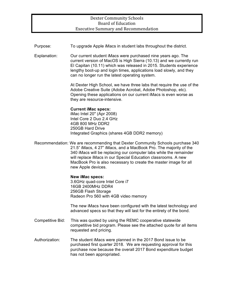#### Dexter Community Schools Board of Education Executive Summary and Recommendation

Purpose: To upgrade Apple iMacs in student labs throughout the district. Explanation: Our current student iMacs were purchased nine years ago. The current version of MacOS is High Sierra (10.13) and we currently run El Capitan (10.11) which was released in 2015. Students experience lengthy boot-up and login times, applications load slowly, and they can no longer run the latest operating system. At Dexter High School, we have three labs that require the use of the Adobe Creative Suite (Adobe Acrobat, Adobe Photoshop, etc). Opening these applications on our current iMacs is even worse as they are resource-intensive. **Current iMac specs:** iMac Intel 20" (Apr 2008) Intel Core 2 Duo 2.4 GHz 4GB 800 MHz DDR2 250GB Hard Drive Integrated Graphics (shares 4GB DDR2 memory) Recommendation: We are recommending that Dexter Community Schools purchase 340 21.5" iMacs, 4 27" iMacs, and a MacBook Pro. The majority of the 340 iMacs will be replacing our computer labs while the remainder will replace iMacs in our Special Education classrooms. A new MacBook Pro is also necessary to create the master image for all new Apple devices. **New iMac specs:** 3.6GHz quad-core Intel Core i7 16GB 2400MHz DDR4 256GB Flash Storage Radeon Pro 560 with 4GB video memory The new iMacs have been configured with the latest technology and advanced specs so that they will last for the entirety of the bond. Competitive Bid: This was quoted by using the REMC cooperative statewide competitive bid program. Please see the attached quote for all items requested and pricing. Authorization: The student iMacs were planned in the 2017 Bond issue to be purchased first quarter 2018. We are requesting approval for this purchase now because the overall 2017 Bond expenditure budget has not been appropriated.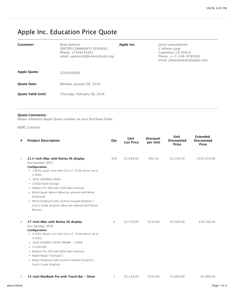# Apple Inc. Education Price Quote

| Customer:                 | Ryan Spencer<br>DEXTER COMMUNITY SCHOOLS<br>Phone: 17344244201<br>email: spencerr@dexterschools.org | Apple Inc: | Jason Lewandowski<br>1 Infinite Loop<br>Cupertino, CA 95014<br>Phone: $++1-248-9782965$<br>email: jlewandowski@apple.com |
|---------------------------|-----------------------------------------------------------------------------------------------------|------------|--------------------------------------------------------------------------------------------------------------------------|
| <b>Apple Quote:</b>       | 2204509309                                                                                          |            |                                                                                                                          |
| <b>Quote Date:</b>        | Monday, January 08, 2018                                                                            |            |                                                                                                                          |
| <b>Ouote Valid Until:</b> | Thursday, February 08, 2018                                                                         |            |                                                                                                                          |

#### **Quote Comments:**

Please reference Apple Quote number on your Purchase Order.

REMC Contract

| # | <b>Product Description</b>                                                                                                                                                                                                                                                                                                                                                                                                 | Qty | <b>Unit</b><br><b>List Price</b> | <b>Discount</b><br>per Unit | Unit<br><b>Discounted</b><br>Price | <b>Extended</b><br><b>Discounted</b><br>Price |
|---|----------------------------------------------------------------------------------------------------------------------------------------------------------------------------------------------------------------------------------------------------------------------------------------------------------------------------------------------------------------------------------------------------------------------------|-----|----------------------------------|-----------------------------|------------------------------------|-----------------------------------------------|
| 1 | 21.5-inch iMac with Retina 4K display<br>Part Number Z0TL<br>Configuration:<br>• 3.6GHz quad-core Intel Core i7, Turbo Boost up to<br>4.2GHz<br>• 16GB 2400MHz DDR4<br>· 256GB Flash Storage<br>• Radeon Pro 560 with 4GB video memory<br>• Wired Apple Mouse (Must be ordered with Wired<br>Keyboard)<br>• Wired Keyboard with numeric keypad (English) /<br>User's Guide (English) (Must be ordered with Wired<br>Mouse) | 340 | \$1,849.00                       | \$92.50                     | \$1,756.50                         | \$597,210.00                                  |
| 2 | 27-inch iMac with Retina 5K display<br>Part Number Z0TR<br><b>Configuration:</b><br>• 4.2GHz Quad-core Intel Core i7, Turbo Boost up to<br>4.5GHz<br>• 16GB 2400MHz DDR4 SDRAM - 2x8GB<br>$-512GB$ SSD<br>• Radeon Pro 580 with 8GB video memory<br>• Apple Magic Trackpad 2<br>• Magic Keyboard with numeric keypad (English) /<br>User's Guide (English)                                                                 | 4   | \$2,719.00                       | \$130.00                    | \$2,589.00                         | \$10,356.00                                   |
| 3 | 15-inch MacBook Pro with Touch Bar - Silver                                                                                                                                                                                                                                                                                                                                                                                | 1   | \$3,139.00                       | \$150.00                    | \$2,989.00                         | \$2,989.00                                    |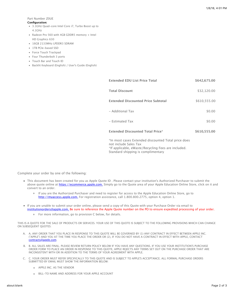#### Part Number Z0UE

#### **Configuration:**

- 3.1GHz Quad-core Intel Core i7, Turbo Boost up to
- 4.1GHz
- Radeon Pro 560 with 4GB GDDR5 memory + Intel HD Graphics 630
- 16GB 2133MHz LPDDR3 SDRAM
- 1TB PCIe-based SSD
- Force Touch Trackpad
- Four Thunderbolt 3 ports
- Touch Bar and Touch ID
- Backlit Keyboard (English) / User's Guide (English)

| <b>Extended EDU List Price Total</b>               | \$642,675.00 |
|----------------------------------------------------|--------------|
| <b>Total Discount</b>                              | \$32,120.00  |
| <b>Extended Discounted Price Subtotal</b>          | \$610,555.00 |
| - Additional Tax                                   | \$0.00       |
| $-$ Estimated Tax                                  | \$0.00       |
| <b>Extended Discounted Total Price*</b>            | \$610,555,00 |
| th most cases Extended discounted Total price does |              |

\*In most cases Extended discounted Total price does not include Sales Tax \*If applicable, eWaste/Recycling Fees are included. Standard shipping is complimentary

Complete your order by one of the following:

- This document has been created for you as Apple Quote ID . Please contact your institution's Authorized Purchaser to submit the above quote online at [https://ecommerce.apple.com.](https://ecommerce.apple.com/) Simply go to the Quote area of your Apple Education Online Store, click on it and convert to an order.
	- $\circ$ If you are the Authorized Purchaser and need to register for access to the Apple Education Online Store, go to [http://myaccess.apple.com.](http://myaccess.apple.com/) For registration assistance, call 1.800.800.2775, option 4, option 1.
- If you are unable to submit your order online, please send a copy of this Quote with your Purchase Order via email to [institutionorders@apple.com.](mailto:institutionorders@apple.com) Be sure to reference the Apple Quote number on the PO to ensure expedited processing of your order.
	- For more information, go to provision C below, for details.

THIS IS A QUOTE FOR THE SALE OF PRODUCTS OR SERVICES. YOUR USE OF THIS QUOTE IS SUBJECT TO THE FOLLOWING PROVISIONS WHICH CAN CHANGE ON SUBSEQUENT QUOTES:

- A. A. ANY ORDER THAT YOU PLACE IN RESPONSE TO THIS QUOTE WILL BE GOVERNED BY (1) ANY CONTRACT IN EFFECT BETWEEN APPLE INC. ("APPLE") AND YOU AT THE TIME YOU PLACE THE ORDER OR (2), IF YOU DO NOT HAVE A CONTRACT IN EFFECT WITH APPLE, CONTACT [contracts@apple.com.](mailto:contracts@apple.com)
- B. B. ALL SALES ARE FINAL. PLEASE REVIEW RETURN POLICY BELOW IF YOU HAVE ANY QUESTIONS. IF YOU USE YOUR INSTITUTION'S PURCHASE ORDER FORM TO PLACE AN ORDER IN RESPONSE TO THIS QUOTE, APPLE REJECTS ANY TERMS SET OUT ON THE PURCHASE ORDER THAT ARE INCONSISTENT WITH OR IN ADDITION TO THE TERMS OF YOUR AGREEMENT WITH APPLE.
- C. C. YOUR ORDER MUST REFER SPECIFICALLY TO THIS QUOTE AND IS SUBJECT TO APPLE'S ACCEPTANCE. ALL FORMAL PURCHASE ORDERS SUBMITTED BY EMAIL MUST SHOW THE INFORMATION BELOW:
	- APPLE INC. AS THE VENDOR
	- BILL-TO NAME AND ADDRESS FOR YOUR APPLE ACCOUNT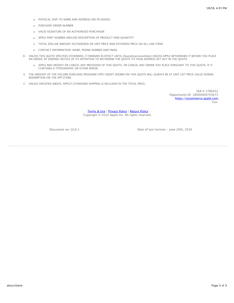- PHYSICAL SHIP-TO NAME AND ADDRESS (NO PO BOXES)
- PURCHASE ORDER NUMBER
- VALID SIGNATURE OF AN AUTHORIZED PURCHASER
- APPLE PART NUMBER AND/OR DESCRIPTION OF PRODUCT AND QUANTITY
- TOTAL DOLLAR AMOUNT AUTHORIZED OR UNIT PRICE AND EXTENDED PRICE ON ALL LINE ITEMS
- CONTACT INFORMATION: NAME, PHONE NUMBER AND EMAIL
- D. UNLESS THIS QUOTE SPECIFIES OTHERWISE, IT REMAINS IN EFFECT UNTIL {QuoteExpirationDate} UNLESS APPLE WITHDRAWS IT BEFORE YOU PLACE AN ORDER, BY SENDING NOTICE OF ITS INTENTION TO WITHDRAW THE QUOTE TO YOUR ADDRESS SET OUT IN THE QUOTE.
	- APPLE MAY MODIFY OR CANCEL ANY PROVISION OF THIS QUOTE, OR CANCEL ANY ORDER YOU PLACE PURSUANT TO THIS QUOTE, IF IT CONTAINS A TYPOGRAPHIC OR OTHER ERROR.
- E. THE AMOUNT OF THE VOLUME PURCHASE PROGRAM (VPP) CREDIT SHOWN ON THIS QUOTE WILL ALWAYS BE AT UNIT LIST PRICE VALUE DURING REDEMPTION ON THE VPP STORE.
- F. UNLESS SPECIFIED ABOVE, APPLE'S STANDARD SHIPPING IS INCLUDED IN THE TOTAL PRICE.

SEA # 1786452 Opportunity ID: 18000000743673 [https://ecommerce.apple.com](https://ecommerce.apple.com/) Fax:

[Terms & Use](http://www.apple.com/legal/) | [Privacy Policy](http://www.apple.com/legal/privacy/) | [Return Policy](https://ecommerce.apple.com/content/b2b/static/en/us/edu-hied/acceptance.html) Copyright © 2016 Apple Inc. All rights reserved.

Document rev 10.6.1 Date of last revision - June 20th, 2016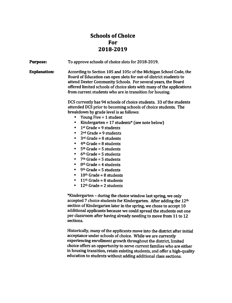# **Schools of Choice** For 2018-2019

**Purpose:** To approve schools of choice slots for 2018-2019. **Explanation:** According to Section 105 and 105c of the Michigan School Code, the Board of Education can open slots for out-of-district students to attend Dexter Community Schools. For several years, the Board offered limited schools of choice slots with many of the applications from current students who are in transition for housing.

> DCS currently has 94 schools of choice students. 33 of the students attended DCS prior to becoming schools of choice students. The breakdown by grade level is as follows:

- Young Five  $= 1$  student
- Kindergarten =  $17$  students\* (see note below)  $\bullet$
- $1<sup>st</sup>$  Grade = 9 students  $\bullet$
- $2<sup>nd</sup>$  Grade = 9 students  $\bullet$
- $\bullet$  $3<sup>rd</sup>$  Grade = 8 students
- $\bullet$  $4<sup>th</sup>$  Grade = 8 students
- $\bullet$  $5<sup>th</sup>$  Grade = 5 students
- $6<sup>th</sup>$  Grade = 5 students  $\bullet$
- $\bullet$  $7<sup>th</sup>$  Grade = 5 students
- $\bullet$  $8<sup>th</sup>$  Grade = 4 students
- $\bullet$  9<sup>th</sup> Grade = 5 students
- $10<sup>th</sup>$  Grade = 8 students
- $11<sup>th</sup>$  Grade = 8 students  $\bullet$
- $12<sup>th</sup>$  Grade = 2 students  $\bullet$

\*Kindergarten - during the choice window last spring, we only accepted 7 choice students for Kindergarten. After adding the 12<sup>th</sup> section of Kindergarten later in the spring, we chose to accept 10 additional applicants because we could spread the students out one per classroom after having already needing to move from 11 to 12 sections.

Historically, many of the applicants move into the district after initial acceptance under schools of choice. While we are currently experiencing enrollment growth throughout the district, limited choice offers an opportunity to serve current families who are either in housing transition, retain existing students, and offer a high-quality education to students without adding additional class sections.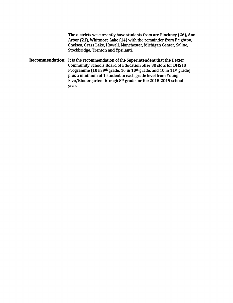The districts we currently have students from are Pinckney (26), Ann Arbor (21), Whitmore Lake (14) with the remainder from Brighton, Chelsea, Grass Lake, Howell, Manchester, Michigan Center, Saline, Stockbridge, Trenton and Ypsilanti.

**Recommendation:** It is the recommendation of the Superintendent that the Dexter Community Schools Board of Education offer 30 slots for DHS IB Programme (10 in 9th grade, 10 in 10th grade, and 10 in 11th grade) plus a minimum of 1 student in each grade level from Young Five/Kindergarten through 8th grade for the 2018-2019 school year.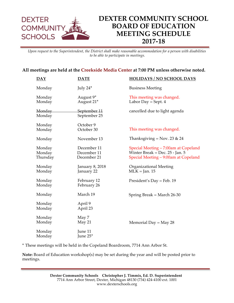

*Upon request to the Superintendent, the District shall make reasonable accommodation for a person with disabilities to be able to participate in meetings.* 

## **All meetings are held at the Creekside Media Center at 7:00 PM unless otherwise noted.**

| $\overline{DAY}$             | <b>DATE</b>                               | <b>HOLIDAYS / NO SCHOOL DAYS</b>                                                                                  |
|------------------------------|-------------------------------------------|-------------------------------------------------------------------------------------------------------------------|
| Monday                       | July 24*                                  | <b>Business Meeting</b>                                                                                           |
| Monday<br>Monday             | August 9*<br>August 21*                   | This meeting was changed.<br>Labor Day = Sept. $4$                                                                |
| Monday<br>Monday             | September 11<br>September 25              | cancelled due to light agenda                                                                                     |
| Monday<br>Monday             | October 9<br>October 30                   | This meeting was changed.                                                                                         |
| Monday                       | November 13                               | Thanksgiving = Nov. 23 & 24                                                                                       |
| Monday<br>Monday<br>Thursday | December 11<br>December 11<br>December 21 | Special Meeting – 7:00am at Copeland<br>Winter Break = Dec. $25$ - Jan. 5<br>Special Meeting - 9:00am at Copeland |
| Monday<br>Monday             | January 8, 2018<br>January 22             | <b>Organizational Meeting</b><br>$MLK = Jan. 15$                                                                  |
| Monday<br>Monday             | February 12<br>February 26                | President's Day = Feb. 19                                                                                         |
| Monday                       | March 19                                  | Spring Break = March $26-30$                                                                                      |
| Monday<br>Monday             | April 9<br>April 23                       |                                                                                                                   |
| Monday<br>Monday             | May 7<br>May 21                           | Memorial Day = May 28                                                                                             |
| Monday<br>Monday             | June 11<br>June 25*                       |                                                                                                                   |

**\*** These meetings will be held in the Copeland Boardroom, 7714 Ann Arbor St.

**Note:** Board of Education workshop(s) may be set during the year and will be posted prior to meetings.